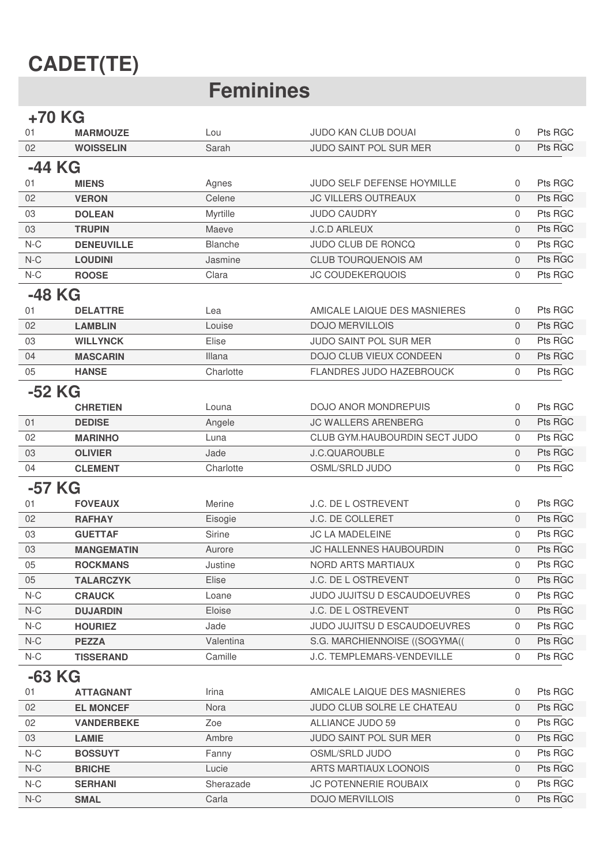## **CADET(TE)**

### **Feminines**

#### +70 KG

| 01       | <b>MARMOUZE</b>   | Lou            | JUDO KAN CLUB DOUAI           | $\mathbf{0}$   | Pts RGC |  |
|----------|-------------------|----------------|-------------------------------|----------------|---------|--|
| 02       | <b>WOISSELIN</b>  | Sarah          | JUDO SAINT POL SUR MER        | $\Omega$       | Pts RGC |  |
| -44 KG   |                   |                |                               |                |         |  |
| 01       | <b>MIENS</b>      | Agnes          | JUDO SELF DEFENSE HOYMILLE    | $\mathbf 0$    | Pts RGC |  |
| 02       | <b>VERON</b>      | Celene         | <b>JC VILLERS OUTREAUX</b>    | $\mathbf{0}$   | Pts RGC |  |
| 03       | <b>DOLEAN</b>     | Myrtille       | <b>JUDO CAUDRY</b>            | $\mathbf 0$    | Pts RGC |  |
| 03       | <b>TRUPIN</b>     | Maeve          | <b>J.C.D ARLEUX</b>           | $\mathbf{0}$   | Pts RGC |  |
| $N-C$    | <b>DENEUVILLE</b> | <b>Blanche</b> | JUDO CLUB DE RONCQ            | $\mathbf 0$    | Pts RGC |  |
| $N-C$    | <b>LOUDINI</b>    | Jasmine        | <b>CLUB TOURQUENOIS AM</b>    | $\mathbf{0}$   | Pts RGC |  |
| $N-C$    | <b>ROOSE</b>      | Clara          | <b>JC COUDEKERQUOIS</b>       | $\mathbf{0}$   | Pts RGC |  |
| -48 KG   |                   |                |                               |                |         |  |
| 01       | <b>DELATTRE</b>   | Lea            | AMICALE LAIQUE DES MASNIERES  | 0              | Pts RGC |  |
| 02       | <b>LAMBLIN</b>    | Louise         | <b>DOJO MERVILLOIS</b>        | $\Omega$       | Pts RGC |  |
| 03       | <b>WILLYNCK</b>   | Elise          | JUDO SAINT POL SUR MER        | $\mathbf 0$    | Pts RGC |  |
| 04       | <b>MASCARIN</b>   | Illana         | DOJO CLUB VIEUX CONDEEN       | $\mathbf{0}$   | Pts RGC |  |
| 05       | <b>HANSE</b>      | Charlotte      | FLANDRES JUDO HAZEBROUCK      | $\mathbf{0}$   | Pts RGC |  |
|          |                   |                |                               |                |         |  |
| -52 KG   | <b>CHRETIEN</b>   | Louna          | <b>DOJO ANOR MONDREPUIS</b>   | 0              | Pts RGC |  |
| 01       | <b>DEDISE</b>     | Angele         | <b>JC WALLERS ARENBERG</b>    | $\mathbf{0}$   | Pts RGC |  |
| 02       | <b>MARINHO</b>    | Luna           | CLUB GYM.HAUBOURDIN SECT JUDO | $\Omega$       | Pts RGC |  |
| 03       | <b>OLIVIER</b>    | Jade           | <b>J.C.QUAROUBLE</b>          | $\mathbf{0}$   | Pts RGC |  |
| 04       | <b>CLEMENT</b>    | Charlotte      | OSML/SRLD JUDO                | $\mathbf{0}$   | Pts RGC |  |
|          |                   |                |                               |                |         |  |
| -57 KG   |                   |                |                               |                |         |  |
| 01       | <b>FOVEAUX</b>    | Merine         | J.C. DE L OSTREVENT           | 0              | Pts RGC |  |
| 02       | <b>RAFHAY</b>     | Eisogie        | J.C. DE COLLERET              | $\mathbf{0}$   | Pts RGC |  |
| 03       | <b>GUETTAF</b>    | Sirine         | JC LA MADELEINE               | $\mathbf{0}$   | Pts RGC |  |
| 03       | <b>MANGEMATIN</b> | Aurore         | JC HALLENNES HAUBOURDIN       | $\mathbf{0}$   | Pts RGC |  |
| 05       | <b>ROCKMANS</b>   | Justine        | NORD ARTS MARTIAUX            | $\Omega$       | Pts RGC |  |
| 05       | <b>TALARCZYK</b>  | Elise          | J.C. DE L OSTREVENT           | $\overline{0}$ | Pts RGC |  |
| $N-C$    | <b>CRAUCK</b>     | Loane          | JUDO JUJITSU D ESCAUDOEUVRES  | 0              | Pts RGC |  |
| $N-C$    | <b>DUJARDIN</b>   | Eloise         | J.C. DE L OSTREVENT           | $\mathbf{0}$   | Pts RGC |  |
| $N-C$    | <b>HOURIEZ</b>    | Jade           | JUDO JUJITSU D ESCAUDOEUVRES  | 0              | Pts RGC |  |
| $N-C$    | <b>PEZZA</b>      | Valentina      | S.G. MARCHIENNOISE ((SOGYMA)  | 0              | Pts RGC |  |
| $N-C$    | <b>TISSERAND</b>  | Camille        | J.C. TEMPLEMARS-VENDEVILLE    | $\mathbf 0$    | Pts RGC |  |
| $-63$ KG |                   |                |                               |                |         |  |
| 01       | <b>ATTAGNANT</b>  | Irina          | AMICALE LAIQUE DES MASNIERES  | 0              | Pts RGC |  |
| 02       | <b>EL MONCEF</b>  | Nora           | JUDO CLUB SOLRE LE CHATEAU    | $\mathbf{0}$   | Pts RGC |  |
| 02       | <b>VANDERBEKE</b> | Zoe            | ALLIANCE JUDO 59              | 0              | Pts RGC |  |
| 03       | <b>LAMIE</b>      | Ambre          | JUDO SAINT POL SUR MER        | $\mathbf{0}$   | Pts RGC |  |
| $N-C$    | <b>BOSSUYT</b>    | Fanny          | OSML/SRLD JUDO                | 0              | Pts RGC |  |
| $N-C$    | <b>BRICHE</b>     | Lucie          | ARTS MARTIAUX LOONOIS         | $\mathbf 0$    | Pts RGC |  |
| $N-C$    | <b>SERHANI</b>    | Sherazade      | JC POTENNERIE ROUBAIX         | 0              | Pts RGC |  |
| $N-C$    | <b>SMAL</b>       | Carla          | <b>DOJO MERVILLOIS</b>        | $\mathbf 0$    | Pts RGC |  |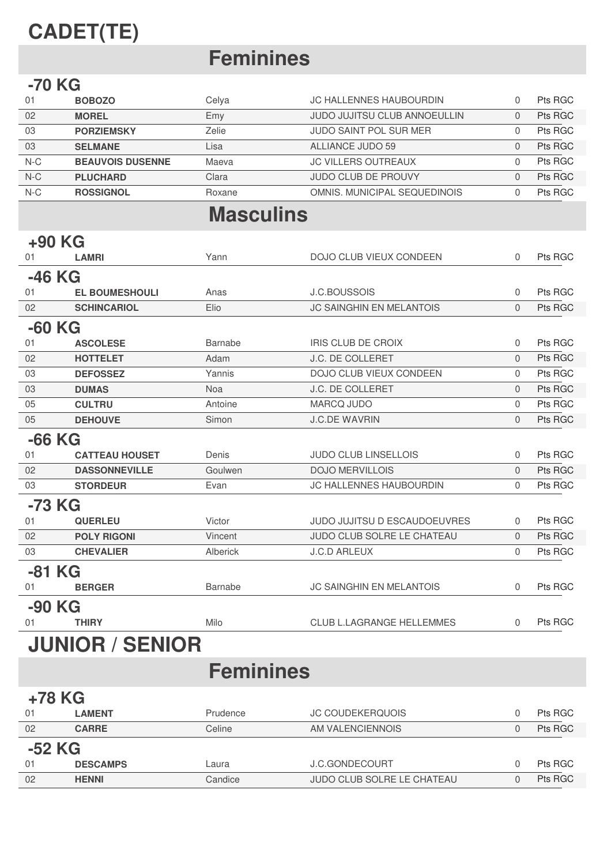# **CADET(TE)**

# **Feminines**

#### **-70 KG**

| 01    | <b>BOBOZO</b>           | Celya  | JC HALLENNES HAUBOURDIN             | Pts RGC |
|-------|-------------------------|--------|-------------------------------------|---------|
| 02    | <b>MOREL</b>            | Emy    | <b>JUDO JUJITSU CLUB ANNOEULLIN</b> | Pts RGC |
| 03    | <b>PORZIEMSKY</b>       | Zelie  | JUDO SAINT POL SUR MER              | Pts RGC |
| 03    | <b>SELMANE</b>          | Lisa   | ALLIANCE JUDO 59                    | Pts RGC |
| $N-C$ | <b>BEAUVOIS DUSENNE</b> | Maeva  | <b>JC VILLERS OUTREAUX</b>          | Pts RGC |
| $N-C$ | <b>PLUCHARD</b>         | Clara  | <b>JUDO CLUB DE PROUVY</b>          | Pts RGC |
| $N-C$ | <b>ROSSIGNOL</b>        | Roxane | OMNIS, MUNICIPAL SEQUEDINOIS        | Pts RGC |

### **Masculins**

| +90 KG   |                         |                |                                  |          |         |  |  |
|----------|-------------------------|----------------|----------------------------------|----------|---------|--|--|
| 01       | <b>LAMRI</b>            | Yann           | DOJO CLUB VIEUX CONDEEN          | $\Omega$ | Pts RGC |  |  |
| -46 KG   |                         |                |                                  |          |         |  |  |
| 01       | <b>EL BOUMESHOULI</b>   | Anas           | <b>J.C.BOUSSOIS</b>              | 0        | Pts RGC |  |  |
| 02       | <b>SCHINCARIOL</b>      | Elio           | <b>JC SAINGHIN EN MELANTOIS</b>  | $\Omega$ | Pts RGC |  |  |
| $-60$ KG |                         |                |                                  |          |         |  |  |
| 01       | <b>ASCOLESE</b>         | <b>Barnabe</b> | <b>IRIS CLUB DE CROIX</b>        | $\Omega$ | Pts RGC |  |  |
| 02       | <b>HOTTELET</b>         | Adam           | J.C. DE COLLERET                 | $\Omega$ | Pts RGC |  |  |
| 03       | <b>DEFOSSEZ</b>         | Yannis         | DOJO CLUB VIEUX CONDEEN          | $\Omega$ | Pts RGC |  |  |
| 03       | <b>DUMAS</b>            | <b>Noa</b>     | J.C. DE COLLERET                 | $\Omega$ | Pts RGC |  |  |
| 05       | <b>CULTRU</b>           | Antoine        | MARCQ JUDO                       | $\Omega$ | Pts RGC |  |  |
| 05       | <b>DEHOUVE</b>          | Simon          | <b>J.C.DE WAVRIN</b>             | $\Omega$ | Pts RGC |  |  |
| $-66$ KG |                         |                |                                  |          |         |  |  |
| 01       | <b>CATTEAU HOUSET</b>   | Denis          | <b>JUDO CLUB LINSELLOIS</b>      | $\Omega$ | Pts RGC |  |  |
| 02       | <b>DASSONNEVILLE</b>    | Goulwen        | <b>DOJO MERVILLOIS</b>           | $\Omega$ | Pts RGC |  |  |
| 03       | <b>STORDEUR</b>         | Evan           | JC HALLENNES HAUBOURDIN          | $\Omega$ | Pts RGC |  |  |
| -73 KG   |                         |                |                                  |          |         |  |  |
| 01       | <b>QUERLEU</b>          | Victor         | JUDO JUJITSU D ESCAUDOEUVRES     | $\Omega$ | Pts RGC |  |  |
| 02       | <b>POLY RIGONI</b>      | Vincent        | JUDO CLUB SOLRE LE CHATEAU       | $\Omega$ | Pts RGC |  |  |
| 03       | <b>CHEVALIER</b>        | Alberick       | <b>J.C.D ARLEUX</b>              | $\Omega$ | Pts RGC |  |  |
| -81 KG   |                         |                |                                  |          |         |  |  |
| 01       | <b>BERGER</b>           | Barnabe        | <b>JC SAINGHIN EN MELANTOIS</b>  | $\Omega$ | Pts RGC |  |  |
| -90 KG   |                         |                |                                  |          |         |  |  |
| 01       | <b>THIRY</b>            | Milo           | <b>CLUB L.LAGRANGE HELLEMMES</b> | $\Omega$ | Pts RGC |  |  |
|          | <b>ILININD / CENIND</b> |                |                                  |          |         |  |  |

### **JUNIOK / SENIOK**

### **Feminines**

| +78 KG   |                 |          |                            |  |         |  |  |
|----------|-----------------|----------|----------------------------|--|---------|--|--|
| 01       | <b>LAMENT</b>   | Prudence | <b>JC COUDEKERQUOIS</b>    |  | Pts RGC |  |  |
| 02       | <b>CARRE</b>    | Celine   | AM VALENCIENNOIS           |  | Pts RGC |  |  |
| $-52$ KG |                 |          |                            |  |         |  |  |
| 01       | <b>DESCAMPS</b> | Laura    | J.C.GONDECOURT             |  | Pts RGC |  |  |
| 02       | <b>HENNI</b>    | Candice  | JUDO CLUB SOLRE LE CHATEAU |  | Pts RGC |  |  |